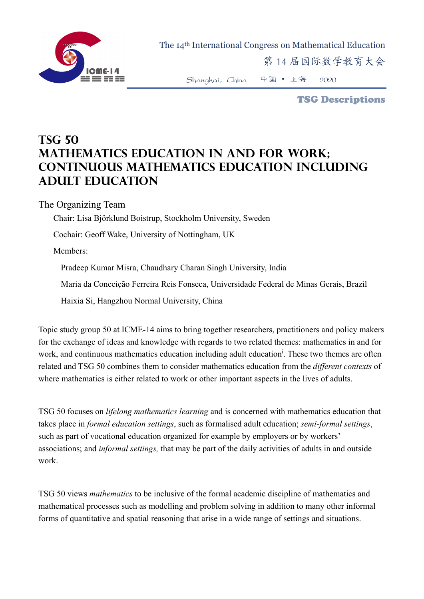

 The 14th International Congress on Mathematical Education 第 14 届国际数学教育大会

Shanghai,China 中国 • 上海 2020

TSG Descriptions

## **TSG 50 Mathematics Education in and for Work; Continuous Mathematics Education Including Adult Education**

The Organizing Team

Chair: Lisa Björklund Boistrup, Stockholm University, Sweden

Cochair: Geoff Wake, University of Nottingham, UK

Members:

Pradeep Kumar Misra, Chaudhary Charan Singh University, India

Maria da Conceição Ferreira Reis Fonseca, Universidade Federal de Minas Gerais, Brazil

Haixia Si, Hangzhou Normal University, China

Topic study group 50 at ICME-14 aims to bring together researchers, practitioners and policy makers for the exchange of ideas and knowledge with regards to two related themes: mathematics in and for work, and continuous mathematics education including adult education<sup>i</sup>. These two themes are often related and TSG 50 combines them to consider mathematics education from the *different contexts* of where mathematics is either related to work or other important aspects in the lives of adults.

TSG 50 focuses on *lifelong mathematics learning* and is concerned with mathematics education that takes place in *formal education settings*, such as formalised adult education; *semi-formal settings*, such as part of vocational education organized for example by employers or by workers' associations; and *informal settings,* that may be part of the daily activities of adults in and outside work.

TSG 50 views *mathematics* to be inclusive of the formal academic discipline of mathematics and mathematical processes such as modelling and problem solving in addition to many other informal forms of quantitative and spatial reasoning that arise in a wide range of settings and situations.